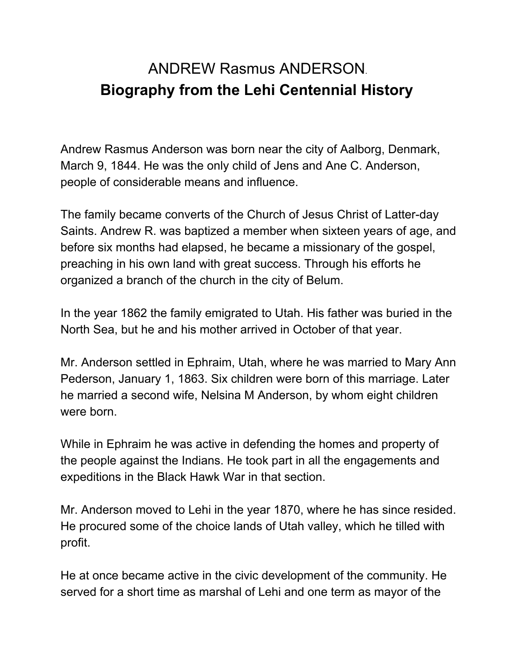## ANDREW Rasmus ANDERSON. **Biography from the Lehi Centennial History**

Andrew Rasmus Anderson was born near the city of Aalborg, Denmark, March 9, 1844. He was the only child of Jens and Ane C. Anderson, people of considerable means and influence.

The family became converts of the Church of Jesus Christ of Latter-day Saints. Andrew R. was baptized a member when sixteen years of age, and before six months had elapsed, he became a missionary of the gospel, preaching in his own land with great success. Through his efforts he organized a branch of the church in the city of Belum.

In the year 1862 the family emigrated to Utah. His father was buried in the North Sea, but he and his mother arrived in October of that year.

Mr. Anderson settled in Ephraim, Utah, where he was married to Mary Ann Pederson, January 1, 1863. Six children were born of this marriage. Later he married a second wife, Nelsina M Anderson, by whom eight children were born.

While in Ephraim he was active in defending the homes and property of the people against the Indians. He took part in all the engagements and expeditions in the Black Hawk War in that section.

Mr. Anderson moved to Lehi in the year 1870, where he has since resided. He procured some of the choice lands of Utah valley, which he tilled with profit.

He at once became active in the civic development of the community. He served for a short time as marshal of Lehi and one term as mayor of the